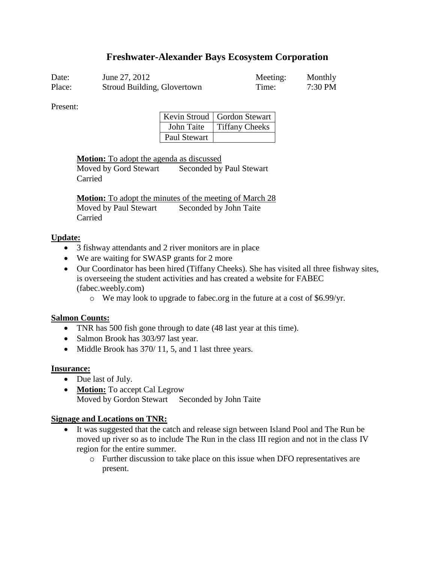# **Freshwater-Alexander Bays Ecosystem Corporation**

| Date:  | June 27, 2012               | Meeting: | Monthly   |
|--------|-----------------------------|----------|-----------|
| Place: | Stroud Building, Glovertown | Time:    | $7:30$ PM |

Present:

|              | Kevin Stroud   Gordon Stewart |
|--------------|-------------------------------|
| John Taite   | <b>Tiffany Cheeks</b>         |
| Paul Stewart |                               |

**Motion:** To adopt the agenda as discussed

Moved by Gord Stewart Seconded by Paul Stewart Carried

**Motion:** To adopt the minutes of the meeting of March 28 Moved by Paul Stewart Seconded by John Taite Carried

#### **Update:**

- 3 fishway attendants and 2 river monitors are in place
- We are waiting for SWASP grants for 2 more
- Our Coordinator has been hired (Tiffany Cheeks). She has visited all three fishway sites, is overseeing the student activities and has created a website for FABEC (fabec.weebly.com)
	- o We may look to upgrade to fabec.org in the future at a cost of \$6.99/yr.

#### **Salmon Counts:**

- TNR has 500 fish gone through to date (48 last year at this time).
- Salmon Brook has 303/97 last year.
- $\bullet$  Middle Brook has 370/11, 5, and 1 last three years.

#### **Insurance:**

- Due last of July.
- **Motion:** To accept Cal Legrow Moved by Gordon Stewart Seconded by John Taite

#### **Signage and Locations on TNR:**

- It was suggested that the catch and release sign between Island Pool and The Run be moved up river so as to include The Run in the class III region and not in the class IV region for the entire summer.
	- o Further discussion to take place on this issue when DFO representatives are present.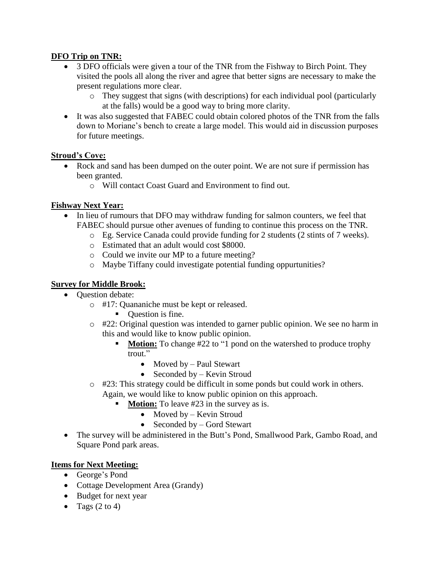### **DFO Trip on TNR:**

- 3 DFO officials were given a tour of the TNR from the Fishway to Birch Point. They visited the pools all along the river and agree that better signs are necessary to make the present regulations more clear.
	- o They suggest that signs (with descriptions) for each individual pool (particularly at the falls) would be a good way to bring more clarity.
- It was also suggested that FABEC could obtain colored photos of the TNR from the falls down to Moriane's bench to create a large model. This would aid in discussion purposes for future meetings.

#### **Stroud's Cove:**

- Rock and sand has been dumped on the outer point. We are not sure if permission has been granted.
	- o Will contact Coast Guard and Environment to find out.

# **Fishway Next Year:**

- In lieu of rumours that DFO may withdraw funding for salmon counters, we feel that FABEC should pursue other avenues of funding to continue this process on the TNR.
	- o Eg. Service Canada could provide funding for 2 students (2 stints of 7 weeks).
	- o Estimated that an adult would cost \$8000.
	- o Could we invite our MP to a future meeting?
	- o Maybe Tiffany could investigate potential funding oppurtunities?

# **Survey for Middle Brook:**

- Ouestion debate:
	- o #17: Quananiche must be kept or released.
		- Ouestion is fine.
	- o #22: Original question was intended to garner public opinion. We see no harm in this and would like to know public opinion.
		- **Motion:** To change #22 to "1 pond on the watershed to produce trophy trout."
			- Moved by Paul Stewart
			- Seconded by  $-$  Kevin Stroud
	- $\circ$  #23: This strategy could be difficult in some ponds but could work in others. Again, we would like to know public opinion on this approach.
		- **Motion:** To leave #23 in the survey as is.
			- Moved by Kevin Stroud
			- Seconded by  $-$  Gord Stewart
- The survey will be administered in the Butt's Pond, Smallwood Park, Gambo Road, and Square Pond park areas.

#### **Items for Next Meeting:**

- George's Pond
- Cottage Development Area (Grandy)
- Budget for next year
- Tags  $(2 \text{ to } 4)$